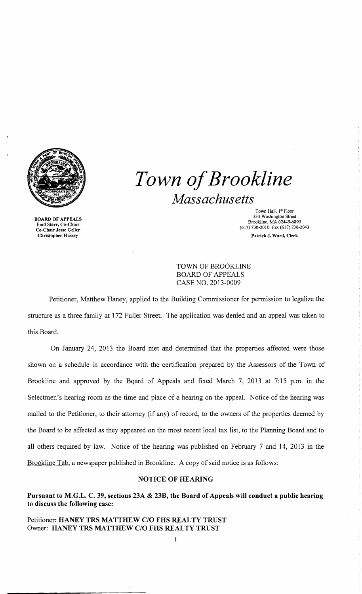

BOARD OF APPEALS Enid Starr, Co-Chair Co-Chair Jesse Geller Christopber Hussey

*Town ofBrookline Massachusetts* 

> Town Hall, 1st Floor 333 Washington Street Brookline, MA 02445-6899 (617) 730-2010 Fax (617) 730-2043 Patrick J. Ward, Clerk

TOWN OF BROOKLINE BOARD OF APPEALS CASE NO. 2013-0009

Petitioner, Matthew Haney, applied to the Building Commissioner for permission to legalize the structure as a three family at 172 Fuller Street. The application was denied and an appeal was taken to this Board.

On January 24, 2013 the Board met and detennined that the properties affected were those shown on a schedule in accordance with the certification prepared by the Assessors of the Town of Brookline and approved by the BQard of Appeals and fixed March 7, 2013 at 7:15 p.m. in the . Selectmen's hearing room as the time and place of a hearing on the appeal. Notice of the hearing was mailed to the Petitioner, to their attorney (if any) of record, to the owners of the properties deemed by the Board to be affected as they appeared on the most recent local tax list, to the Planning Board and to all others required by law. Notice of the hearing was published on February 7 and 14, 2013 in the Brookline Tab, a newspaper published in Brookline. A copy of said notice is as follows:

### NOTICE OF HEARING

Pursuant to M.G.L. C. 39, sections 23A & 23B, the Board of Appeals will conduct a public hearing to discuss the following case:

Petitioner: HANEY TRS MATTHEW C/O FHS REALTY TRUST Owner: HANEY TRS MATTHEW CIO FHS REALTY TRUST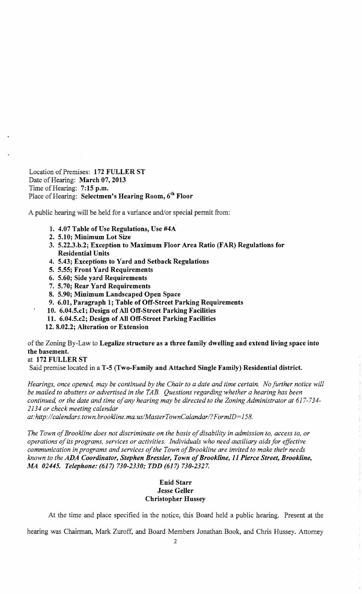Location of Premises: 172 FULLER ST Date of Hearing: March 07, 2013 Time of Hearing: 7:15 p.m. Place of Hearing: Selectmen's Hearing Room, 6th Floor

A public hearing will be held for a variance and/or special permit from:

- 1. 4.07 Table of Use Regulations, Use #4A
- 2. 5.10; Minimum Lot Size
- 3. 5.22.3.b.2; Exception to Maximum Floor Area Ratio (FAR) Regulations for Residential Units
- 4. 5.43; Exceptions to Yard and Setback Regulations
- 5. 5.55; Front Yard Requirements
- 6. 5.60; Side yard Requirements
- 7. 5.70; Rear Yard Requirements
- 8. 5.90; Minimum Landscaped Open Space
- 9. 6.01, Paragraph 1; Table of Off-Street Parking Requirements

10. 6.04.5.c1; Design of All Off-Street Parking Facilities

- 11. 6.04.5.c2; Design of All Off-Street Parking Facilities
- 12. 8.02.2; Alteration or Extension

of the Zoning By-Law to Legalize structure as a three family dwelling and extend living space into the basement.

# at 172 FULLER ST

Said premise located in a T -5 (Two-Family and Attached Single Family) Residential district.

*Hearings, once opened, may be continued by the Chair to a date and time certain. No further notice will be mailed to abutters or advertised in the TAB. Questions regarding whether a hearing has been continued, or the date and time ofany hearing may be directed to the Zoning Administrator at 617-734 2134 or check meeting calendar* 

*at:http://calendars.town.brookline.ma.usIMasterTownCalandarI?FormID=158.* 

The Town of Brookline does not discriminate on the basis of disability in admission to, access to, or *operations of its programs, services or activities. Individuals who need auxiliary aids for effective* communication in programs and services of the Town of Brookline are invited to make their needs *known to the* ADA *Coordinator, Stephen Bressler, Town ofBrookline,* 11 *Pierce Street, Brookline, MA 02445. Telephone:* (617) *730-2330; TDD* (617) *730-2327.* 

## Enid Starr Jesse Geller Christopher Hussey

At the time and place specified in the notice, this Board held a public hearing. Present at the

hearing was Chairman, Mark Zuroff, and Board Members Jonathan Book, and Chris Hussey. Attorney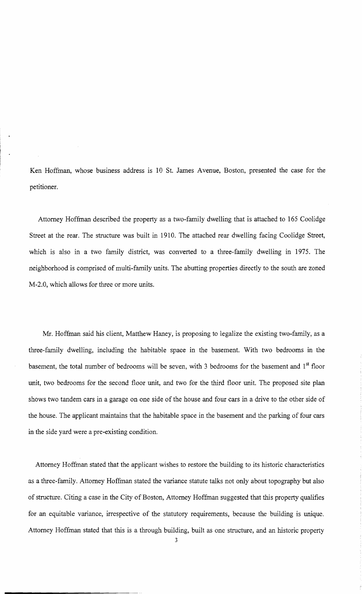Ken Hoffman, whose business address is 10 St. James Avenue, Boston, presented the case for the petitioner.

Attorney Hoffman described the property as a two-family dwelling that is attached to 165 Coolidge Street at the rear. The structure was built in 1910. The attached rear dwelling facing Coolidge Street, which is also in a two family district, was converted to a three-family dwelling in 1975. The neighborhood is comprised of multi-family units. The abutting properties directly to the south are zoned M-2.0, which allows for three or more units.

Mr. Hoffman said his client, Matthew Haney, is proposing to legalize the existing two-family, as a three-family dwelling, including the habitable space in the basement. With two bedrooms in the basement, the total number of bedrooms will be seven, with 3 bedrooms for the basement and  $1<sup>st</sup>$  floor unit, two bedrooms for the second floor unit, and two for the third floor unit. The proposed site plan shows two tandem cars in a garage on one side of the house and four cars in a drive to the other side of the house. The applicant maintains that the habitable space in the basement and the parking of four cars in the side yard were a pre-existing condition.

Attorney Hoffman stated that the applicant wishes to restore the building to its historic characteristics as a three-family. Attorney Hoffman stated the variance statute talks not only about topography but also of structure. Citing a case in the City of Boston, Attorney Hoffman suggested that this property qualifies for an equitable variance, irrespective of the statutory requirements, because the building is unique. Attorney Hoffman stated that this is a through building, built as one structure, and an historic property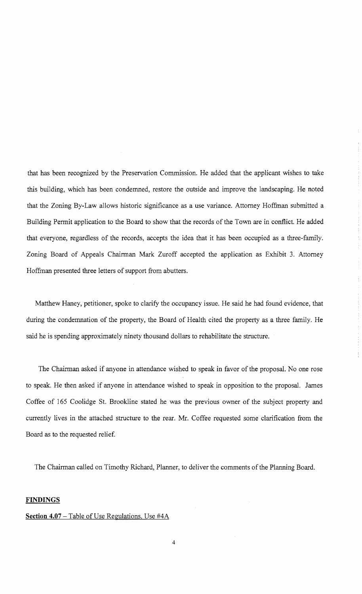that has been recognized by the Preservation Commission. He added that the applicant wishes to take this building, which has been condemned, restore the outside and improve the landscaping. He noted that the Zoning By-Law allows historic significance as a use variance. Attorney Hoffinan submitted a Building Permit application to the Board to show that the records of the Town are in conflict. He added that everyone, regardless of the records, accepts the idea that it has been occupied as a three-family. Zoning Board of Appeals Chairman Mark Zuroff accepted the application as Exhibit 3. Attorney Hoffinan presented three letters of support from abutters.

Matthew Haney, petitioner, spoke to clarify the occupancy issue. He said he had found evidence, that during the condemnation of the property, the Board of Health cited the property as a three family. He said he is spending approximately ninety thousand dollars to rehabilitate the structure.

The Chairman asked if anyone in attendance wished to speak in favor of the proposal. No one rose to speak. He then asked if anyone in attendance wished to speak in opposition to the proposal. James Coffee of 165 Coolidge St. Brookline stated he was the previous owner of the subject property and currently lives in the attached structure to the rear. Mr. Coffee requested some clarification from the Board as to the requested relief.

The Chairman called on Timothy Richard, Planner, to deliver the comments of the Planning Board.

## **FINDINGS**

## **Section 4.07** - Table of Use Regulations. Use #4A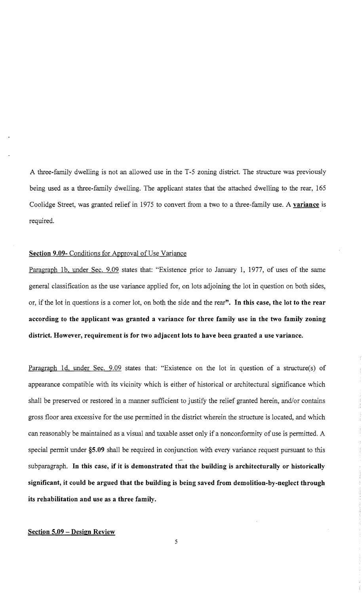A three-family dwelling is not an allowed use in the T-5 zoning district. The structure was previously being used as a three-family dwelling. The applicant states that the attached dwelling to the rear, 165 Coolidge Street, was granted relief in 1975 to convert from a two to a three-family use. A variance is required.

#### Section 9.09- Conditions for Approval of Use Variance

Paragraph 1b, under Sec. 9.09 states that: "Existence prior to January 1, 1977, of uses of the same general classification as the use variance applied for, on lots adjoining the lot in question on both sides, or, if the lot in questions is a corner lot, on both the side and the rear". In this case, the lot to the rear according to the applicant was granted a variance for three family use in the two family zoning district. However, requirement is for two adjacent lots to have been granted a use variance.

Paragraph Id, under Sec. 9.09 states that: "Existence on the lot in question of a structure(s) of appearance compatible with its vicinity which is either of historical or architectural significance which shall be preserved or restored in a manner sufficient to justify the relief granted herein, and/or contains gross floor area excessive for the use pennitted in the district wherein the structure is located, and which can reasonably be maintained as a visual and taxable asset only if a nonconformity of use is permitted. A special permit under §5.09 shall be required in conjunction with every variance request pursuant to this subparagraph. In this case, if it is demonstrated that the building is architecturally or historically significant, it could be argued that the building is being saved from demolition-by-neglect through its rehabilitation and use as a three family.

## Section 5.09 - Design Review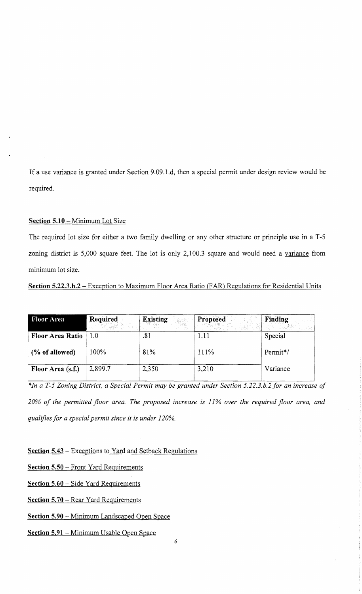If a use variance is granted under Section 9.09.l.d, then a special permit under design review would be required.

## Section 5.10 - Minimum Lot Size

The required lot size for either a two family dwelling or any other structure or principle use in a T-5 zoning district is 5,000 square feet. The lot is only 2,100.3 square and would need a variance from minimum lot size.

# Section 5.22.3.b.2 - Exception to Maximum Floor Area Ratio (FAR) Regulations for Residential Units

| <b>Floor Area</b>       | <b>Required</b><br><b>不能 一般病的</b> | <b>Existing</b> | Proposed | Finding  |
|-------------------------|-----------------------------------|-----------------|----------|----------|
| <b>Floor Area Ratio</b> | 1.0                               | .81             | 1.11     | Special  |
| (% of allowed)          | 100%                              | 81%             | 111%     | Permit*/ |
| Floor Area (s.f.)       | 2,899.7                           | 2,350           | 3,210    | Variance |

*\*In a T-5 Zoning District, a Special Permit may be granted under Section 5.22.3.b.2 for an increase of 20% of the permitted floor area. The proposed increase is* 11% *over the required floor area, and qualifies for a special permit since it is under 120%.* 

Section 5.43 - Exceptions to Yard and Setback Regulations

Section 5.50 - Front Yard Requirements

Section 5.60 - Side Yard Requirements

Section 5.70 – Rear Yard Requirements

Section 5.90 - Minimum Landscaped Open Space

Section 5.91 - Minimum Usable Open Space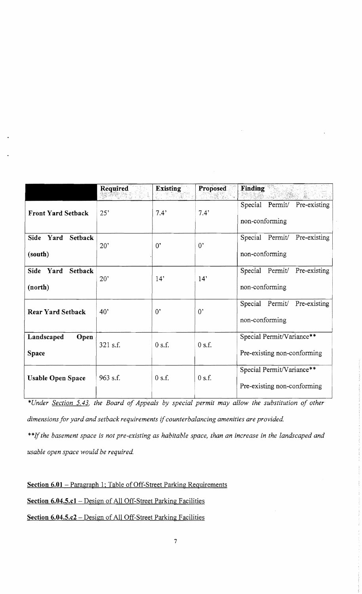|                                                  | Required   | <b>Existing</b> | Proposed      | Finding                                                  |
|--------------------------------------------------|------------|-----------------|---------------|----------------------------------------------------------|
| <b>Front Yard Setback</b>                        | 25'        | 7.4'            | $7.4^{\circ}$ | Special Permit/ Pre-existing<br>non-conforming           |
| Side Yard<br><b>Setback</b><br>(south)           | 20'        | $0^{\circ}$     | $0^{\circ}$   | Pre-existing<br>Special Permit/<br>non-conforming        |
| Yard<br><b>Setback</b><br><b>Side</b><br>(north) | 20'        | 14"             | 14'           | Special Permit/ Pre-existing<br>non-conforming           |
| <b>Rear Yard Setback</b>                         | 40'        | 0,              | $0^{\circ}$   | Special<br>Permit/<br>Pre-existing<br>non-conforming     |
| Landscaped<br>Open<br>Space                      | $321$ s.f. | 0 s.f.          | 0 s.f.        | Special Permit/Variance**<br>Pre-existing non-conforming |
| <b>Usable Open Space</b>                         | 963 s.f.   | $0$ s.f.        | $0$ s.f.      | Special Permit/Variance**<br>Pre-existing non-conforming |

*\*Under Section* 5.43, *the Board of Appeals by special permit may allow the substitution of other dimensions for yard and setback requirements* if*counterbalancing amenities are provided.* 

\*\*If the basement space is not pre-existing as habitable space, than an increase in the landscaped and *usable open space would be required.* 

**Section 6.01** - Paragraph 1; Table of Off-Street Parking Requirements **Section 6.04.S.c1-** Design of All Off-Street Parking Facilities **Section 6.04.S.c2** - Design of All Off-Street Parking Facilities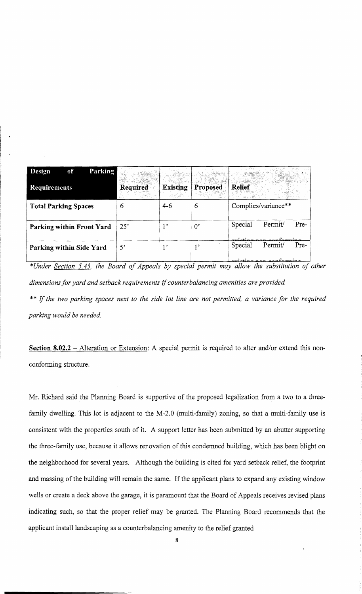| Parking<br><b>Design</b><br>of |             |                 |                 |                                             |
|--------------------------------|-------------|-----------------|-----------------|---------------------------------------------|
| <b>Requirements</b>            | Required    | <b>Existing</b> | <b>Proposed</b> | Relief                                      |
| <b>Total Parking Spaces</b>    | b           | $4 - 6$         | 6               | Complies/variance**                         |
| Parking within Front Yard      | 25'         | ,               | $0^{\circ}$     | Special<br>Permit/<br>Pre-                  |
| Parking within Side Yard       | $5^{\circ}$ | 1 <sup>5</sup>  | 12              | Special<br>Permit/<br>Pre-<br>$\sim$<br>. . |

*\*Under Section* 5.43, *the Board of Appeals by special permit may allow the substitution of other*  dimensions for yard and setback requirements if counterbalancing amenities are provided. \*\* If *the two parking spaces next to the side lot line are not permitted, a variance for the required parking would be needed* 

Section 8.02.2 - Alteration or Extension: A special permit is required to alter and/or extend this nonconforming structure.

Mr. Richard said the Planning Board is supportive of the proposed legalization from a two to a threefamily dwelling. This lot is adjacent to the M-2.0 (multi-family) zoning, so that a multi-family use is consistent with the properties south of it. A support letter has been submitted by an abutter supporting the three-family use, because it allows renovation of this condemned building, which has been blight on the neighborhood for several years. Although the building is cited for yard setback relief, the footprint and massing of the building will remain the same. If the applicant plans to expand any existing window wells or create a deck above the garage, it is paramount that the Board of Appeals receives revised plans indicating such, so that the proper relief may be granted. The Planning Board recommends that the applicant install landscaping as a counterbalancing amenity to the relief granted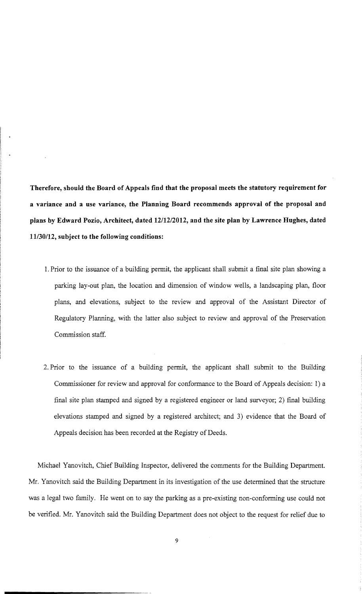**Therefore, should the Board of Appeals find that the proposal meets the statutory requirement for a variance and a use variance, the Planning Board recommends approval of the proposal and plans by Edward Pozio, Architect, dated 1211212012, and the site plan by Lawrence Hughes, dated 11130/12, subject to the following conditions:** 

- 1. Prior to the issuance of a building pennit, the applicant shall submit a final site plan showing a parking lay-out plan, the location and dimension of window wells, a landscaping plan, floor plans, and elevations, subject to the review and approval of the Assistant Director of Regulatory Planning, with the latter also subject to review and approval of the Preservation Commission staff.
- 2. Prior to the issuance of a building permit, the applicant shall submit to the Building Commissioner for review and approval for conformance to the Board of Appeals decision: 1) a final site plan stamped and signed by a registered engineer or land surveyor; 2) final building elevations stamped and signed by a registered architect; and 3) evidence that the Board of Appeals decision has been recorded at the Registry of Deeds.

Michael Yanovitch, Chief Building Inspector, delivered the comments for the Building Department. Mr. Yanovitch said the Building Department in its investigation of the use determined that the structure was a legal two family. He went on to say the parking as a pre-existing non-conforming use could not be verified. Mr. Yanovitch said the Building Department does not object to the request for relief due to

9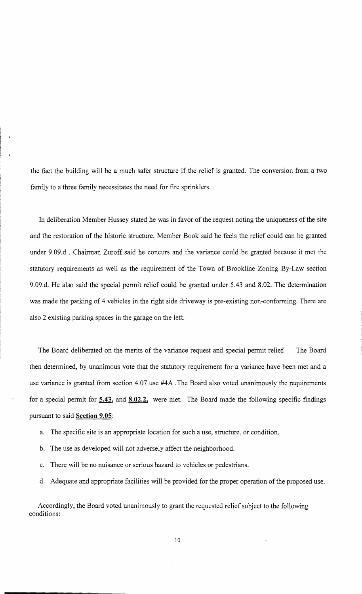the fact the building will be a much safer structure if the relief is granted. The conversion from a two family to a three family necessitates the need for fire sprinklers.

In deliberation Member Hussey stated he was in favor of the request noting the uniqueness of the site and the restoration of the historic structure. Member Book said he feels the relief could can be granted under 9.09.d . Chairman Zuroff said he concurs and the variance could be granted because it met the statutory requirements as well as the requirement of the Town of Brookline Zoning By-Law section 9.09.d. He also said the special permit relief could be granted under 5.43 and 8.02. The determination was made the parking of 4 vehicles in the right side driveway is pre-existing non-conforming. There are also 2 existing parking spaces in the garage on the left.

The Board deliberated on the merits of the variance request and special permit relief. The Board then determined, by unanimous vote that the statutory requirement for a variance have been met and a use variance is granted from section 4.07 use #4A .The Board also voted unanimously the requirements for a special permit for **5.43, and 8.02.2,** were met. The Board made the following specific fmdings pursuant to said **Section 9.05:** 

- a. The specific site is an appropriate location for such a use, structure, or condition.
- b. The use as developed will not adversely affect the neighborhood.
- c. There will be no nuisance or serious hazard to vehicles or pedestrians.
- d. Adequate and appropriate facilities will be provided for the proper operation of the proposed use.

Accordingly, the Board voted unanimously to grant the requested relief subject to the following conditions: